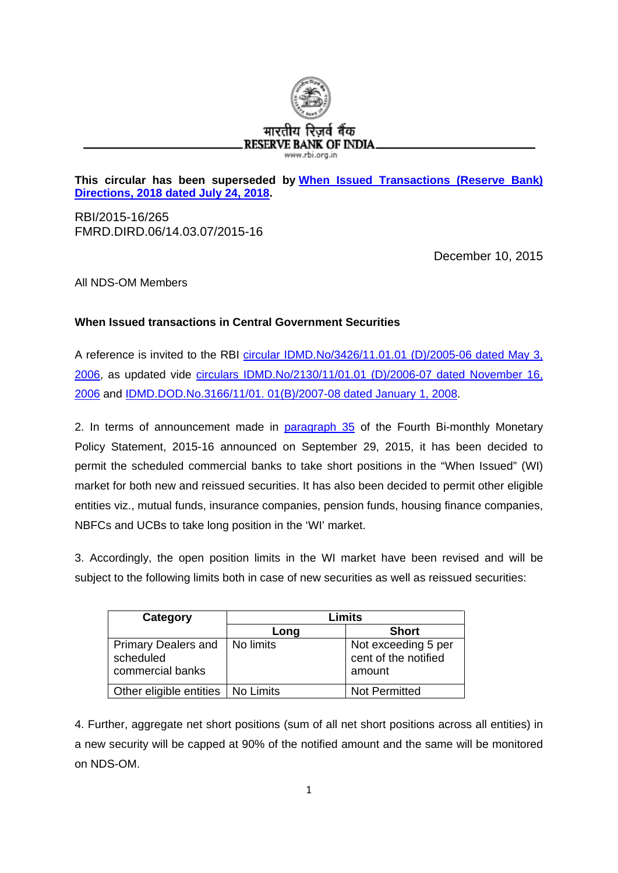

## **This circular has been superseded by [When Issued Transactions \(Reserve Bank\)](https://www.rbi.org.in/scripts/FS_Notification.aspx?Id=11344&fn=6&Mode=0)  [Directions, 2018 dated July 24, 2018.](https://www.rbi.org.in/scripts/FS_Notification.aspx?Id=11344&fn=6&Mode=0)**

RBI/2015-16/265 FMRD.DIRD.06/14.03.07/2015-16

December 10, 2015

All NDS-OM Members

## **When Issued transactions in Central Government Securities**

A reference is invited to the RBI [circular IDMD.No/3426/11.01.01](https://rbi.org.in/scripts/NotificationUser.aspx?Id=2862&Mode=0) (D)/2005-06 dated May 3, [2006,](https://rbi.org.in/scripts/NotificationUser.aspx?Id=2862&Mode=0) as updated vide [circulars IDMD.No/2130/11/01.01 \(D\)/2006-07 dated November 16,](https://rbi.org.in/Scripts/NotificationUser.aspx?Id=3159&Mode=0)  [2006](https://rbi.org.in/Scripts/NotificationUser.aspx?Id=3159&Mode=0) and IDMD.DOD.No.3166/11/01. [01\(B\)/2007-08 dated January](https://rbi.org.in/Scripts/NotificationUser.aspx?Id=3992&Mode=0) 1, 2008.

2. In terms of announcement made in [paragraph 35](https://rbi.org.in/Scripts/BS_PressReleaseDisplay.aspx?prid=35087#p35) of the Fourth Bi-monthly Monetary Policy Statement, 2015-16 announced on September 29, 2015, it has been decided to permit the scheduled commercial banks to take short positions in the "When Issued" (WI) market for both new and reissued securities. It has also been decided to permit other eligible entities viz., mutual funds, insurance companies, pension funds, housing finance companies, NBFCs and UCBs to take long position in the 'WI' market.

3. Accordingly, the open position limits in the WI market have been revised and will be subject to the following limits both in case of new securities as well as reissued securities:

| Category                                                    | Limits    |                                                       |
|-------------------------------------------------------------|-----------|-------------------------------------------------------|
|                                                             | Long      | <b>Short</b>                                          |
| <b>Primary Dealers and</b><br>scheduled<br>commercial banks | No limits | Not exceeding 5 per<br>cent of the notified<br>amount |
| Other eligible entities   No Limits                         |           | Not Permitted                                         |

4. Further, aggregate net short positions (sum of all net short positions across all entities) in a new security will be capped at 90% of the notified amount and the same will be monitored on NDS-OM.